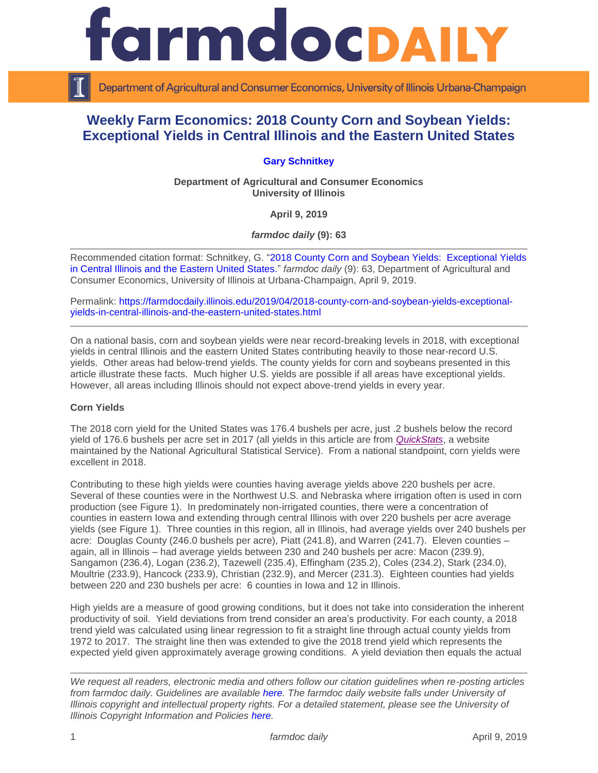

Department of Agricultural and Consumer Economics, University of Illinois Urbana-Champaign

# **Weekly Farm Economics: 2018 County Corn and Soybean Yields: Exceptional Yields in Central Illinois and the Eastern United States**

## **[Gary Schnitkey](http://farmdoc.illinois.edu/schnitkey)**

**Department of Agricultural and Consumer Economics University of Illinois**

**April 9, 2019**

*farmdoc daily* **(9): 63**

Recommended citation format: Schnitkey, G. ["2018 County Corn and Soybean Yields: Exceptional Yields](https://farmdocdaily.illinois.edu/2019/04/2018-county-corn-and-soybean-yields-exceptional-yields-in-central-illinois-and-the-eastern-united-states.html)  [in Central Illinois and the Eastern United States.](https://farmdocdaily.illinois.edu/2019/04/2018-county-corn-and-soybean-yields-exceptional-yields-in-central-illinois-and-the-eastern-united-states.html)" *farmdoc daily* (9): 63, Department of Agricultural and Consumer Economics, University of Illinois at Urbana-Champaign, April 9, 2019.

Permalink: [https://farmdocdaily.illinois.edu/2019/04/2018-county-corn-and-soybean-yields-exceptional](https://farmdocdaily.illinois.edu/2019/04/2018-county-corn-and-soybean-yields-exceptional-yields-in-central-illinois-and-the-eastern-united-states.html)[yields-in-central-illinois-and-the-eastern-united-states.html](https://farmdocdaily.illinois.edu/2019/04/2018-county-corn-and-soybean-yields-exceptional-yields-in-central-illinois-and-the-eastern-united-states.html)

On a national basis, corn and soybean yields were near record-breaking levels in 2018, with exceptional yields in central Illinois and the eastern United States contributing heavily to those near-record U.S. yields. Other areas had below-trend yields. The county yields for corn and soybeans presented in this article illustrate these facts. Much higher U.S. yields are possible if all areas have exceptional yields. However, all areas including Illinois should not expect above-trend yields in every year.

#### **Corn Yields**

The 2018 corn yield for the United States was 176.4 bushels per acre, just .2 bushels below the record yield of 176.6 bushels per acre set in 2017 (all yields in this article are from *[QuickStats](https://quickstats.nass.usda.gov/)*, a website maintained by the National Agricultural Statistical Service). From a national standpoint, corn yields were excellent in 2018.

Contributing to these high yields were counties having average yields above 220 bushels per acre. Several of these counties were in the Northwest U.S. and Nebraska where irrigation often is used in corn production (see Figure 1). In predominately non-irrigated counties, there were a concentration of counties in eastern Iowa and extending through central Illinois with over 220 bushels per acre average yields (see Figure 1). Three counties in this region, all in Illinois, had average yields over 240 bushels per acre: Douglas County (246.0 bushels per acre), Piatt (241.8), and Warren (241.7). Eleven counties – again, all in Illinois – had average yields between 230 and 240 bushels per acre: Macon (239.9), Sangamon (236.4), Logan (236.2), Tazewell (235.4), Effingham (235.2), Coles (234.2), Stark (234.0), Moultrie (233.9), Hancock (233.9), Christian (232.9), and Mercer (231.3). Eighteen counties had yields between 220 and 230 bushels per acre: 6 counties in Iowa and 12 in Illinois.

High yields are a measure of good growing conditions, but it does not take into consideration the inherent productivity of soil. Yield deviations from trend consider an area's productivity. For each county, a 2018 trend yield was calculated using linear regression to fit a straight line through actual county yields from 1972 to 2017. The straight line then was extended to give the 2018 trend yield which represents the expected yield given approximately average growing conditions. A yield deviation then equals the actual

*We request all readers, electronic media and others follow our citation guidelines when re-posting articles from farmdoc daily. Guidelines are available [here.](http://farmdocdaily.illinois.edu/citationguide.html) The farmdoc daily website falls under University of Illinois copyright and intellectual property rights. For a detailed statement, please see the University of Illinois Copyright Information and Policies [here.](http://www.cio.illinois.edu/policies/copyright/)*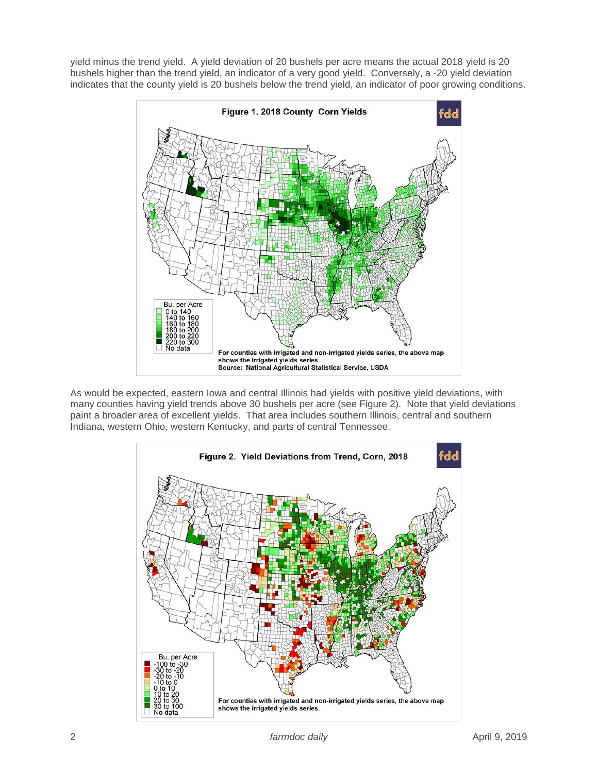yield minus the trend yield. A yield deviation of 20 bushels per acre means the actual 2018 yield is 20 bushels higher than the trend yield, an indicator of a very good yield. Conversely, a -20 yield deviation indicates that the county yield is 20 bushels below the trend yield, an indicator of poor growing conditions.



As would be expected, eastern Iowa and central Illinois had yields with positive yield deviations, with many counties having yield trends above 30 bushels per acre (see Figure 2). Note that yield deviations paint a broader area of excellent yields. That area includes southern Illinois, central and southern Indiana, western Ohio, western Kentucky, and parts of central Tennessee.

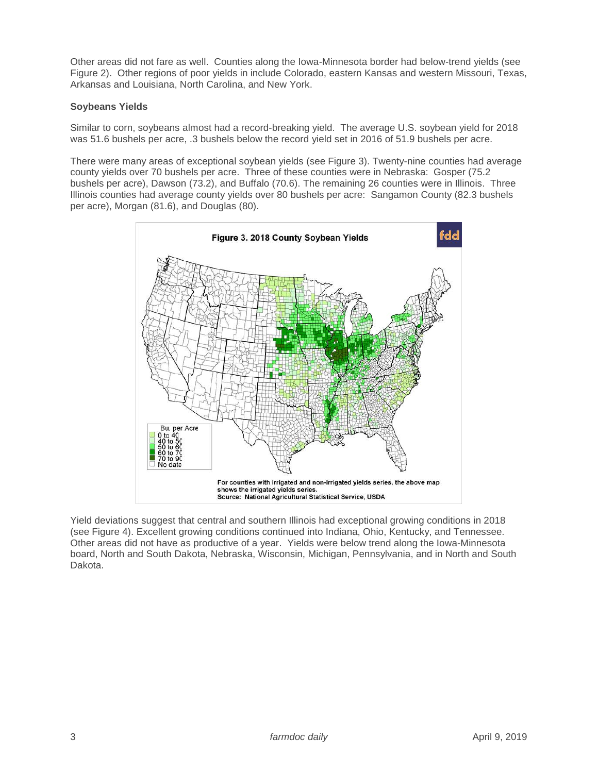Other areas did not fare as well. Counties along the Iowa-Minnesota border had below-trend yields (see Figure 2). Other regions of poor yields in include Colorado, eastern Kansas and western Missouri, Texas, Arkansas and Louisiana, North Carolina, and New York.

### **Soybeans Yields**

Similar to corn, soybeans almost had a record-breaking yield. The average U.S. soybean yield for 2018 was 51.6 bushels per acre, .3 bushels below the record yield set in 2016 of 51.9 bushels per acre.

There were many areas of exceptional soybean yields (see Figure 3). Twenty-nine counties had average county yields over 70 bushels per acre. Three of these counties were in Nebraska: Gosper (75.2 bushels per acre), Dawson (73.2), and Buffalo (70.6). The remaining 26 counties were in Illinois. Three Illinois counties had average county yields over 80 bushels per acre: Sangamon County (82.3 bushels per acre), Morgan (81.6), and Douglas (80).



Yield deviations suggest that central and southern Illinois had exceptional growing conditions in 2018 (see Figure 4). Excellent growing conditions continued into Indiana, Ohio, Kentucky, and Tennessee. Other areas did not have as productive of a year. Yields were below trend along the Iowa-Minnesota board, North and South Dakota, Nebraska, Wisconsin, Michigan, Pennsylvania, and in North and South Dakota.